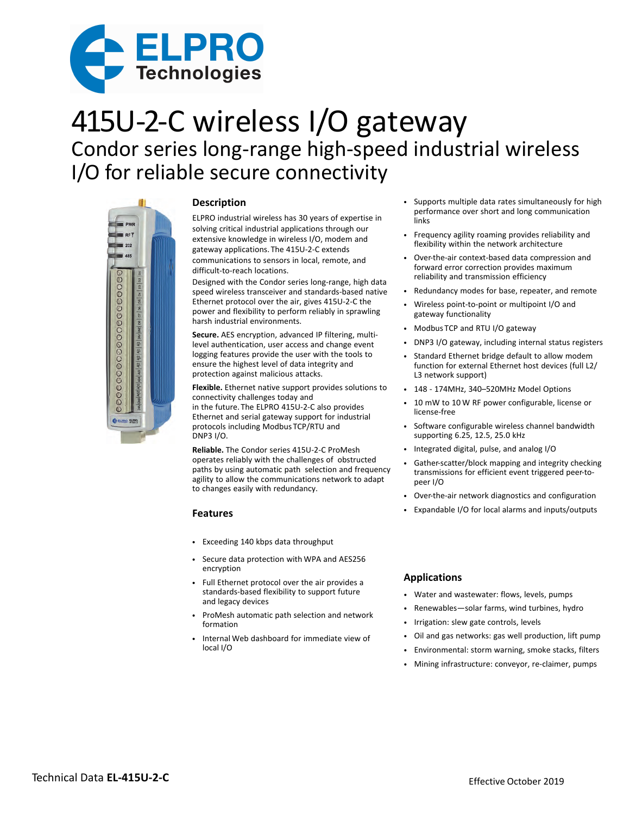

# 415U-2-C wireless I/O gateway Condor series long-range high-speed industrial wireless I/O for reliable secure connectivity



## **Description**

ELPRO industrial wireless has 30 years of expertise in solving critical industrial applications through our extensive knowledge in wireless I/O, modem and gateway applications. The 415U-2-C extends communications to sensors in local, remote, and difficult-to-reach locations.

Designed with the Condor series long-range, high data speed wireless transceiver and standards-based native Ethernet protocol over the air, gives 415U-2-C the power and flexibility to perform reliably in sprawling harsh industrial environments.

**Secure.** AES encryption, advanced IP filtering, multilevel authentication, user access and change event logging features provide the user with the tools to ensure the highest level of data integrity and protection against malicious attacks.

**Flexible.** Ethernet native support provides solutions to connectivity challenges today and

in the future. The ELPRO 415U-2-C also provides Ethernet and serial gateway support for industrial protocols including Modbus TCP/RTU and DNP3 I/O.

**Reliable.** The Condor series 415U-2-C ProMesh operates reliably with the challenges of obstructed paths by using automatic path selection and frequency agility to allow the communications network to adapt to changes easily with redundancy.

### **Features**

- Exceeding 140 kbps data throughput
- Secure data protection with WPA and AES256 encryption
- Full Ethernet protocol over the air provides a standards-based flexibility to support future and legacy devices
- ProMesh automatic path selection and network formation
- Internal Web dashboard for immediate view of local I/O
- Supports multiple data rates simultaneously for high performance over short and long communication links
- Frequency agility roaming provides reliability and flexibility within the network architecture
- Over-the-air context-based data compression and forward error correction provides maximum reliability and transmission efficiency
- Redundancy modes for base, repeater, and remote
- Wireless point-to-point or multipoint I/O and gateway functionality
- Modbus TCP and RTU I/O gateway
- DNP3 I/O gateway, including internal status registers
- Standard Ethernet bridge default to allow modem function for external Ethernet host devices (full L2/ L3 network support)
- 148 174MHz, 340–520MHz Model Options
- 10 mW to 10 W RF power configurable, license or license-free
- Software configurable wireless channel bandwidth supporting 6.25, 12.5, 25.0 kHz
- Integrated digital, pulse, and analog I/O
- Gather-scatter/block mapping and integrity checking transmissions for efficient event triggered peer-topeer I/O
- Over-the-air network diagnostics and configuration
- Expandable I/O for local alarms and inputs/outputs

### **Applications**

- Water and wastewater: flows, levels, pumps
- Renewables—solar farms, wind turbines, hydro
- Irrigation: slew gate controls, levels
- Oil and gas networks: gas well production, lift pump
- Environmental: storm warning, smoke stacks, filters
- Mining infrastructure: conveyor, re-claimer, pumps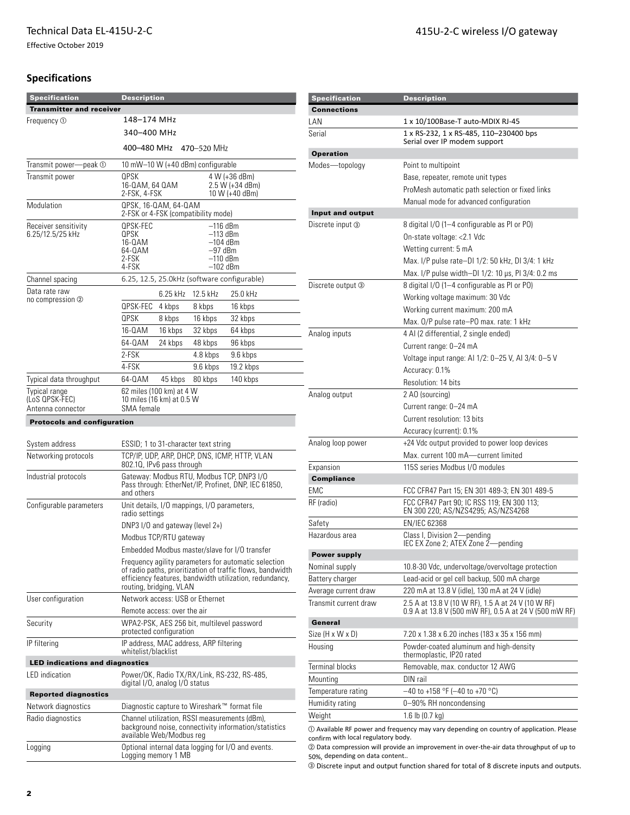Effective October 2019

# **Specifications**

| <b>Specification</b>                                 | <b>Description</b>                                                                                                                                                                                       |                                                                                                                                    |                                   |                                                                               |  |  |
|------------------------------------------------------|----------------------------------------------------------------------------------------------------------------------------------------------------------------------------------------------------------|------------------------------------------------------------------------------------------------------------------------------------|-----------------------------------|-------------------------------------------------------------------------------|--|--|
| <b>Transmitter and receiver</b>                      |                                                                                                                                                                                                          |                                                                                                                                    |                                   |                                                                               |  |  |
| Frequency <sub>1</sub>                               | 148–174 MHz                                                                                                                                                                                              |                                                                                                                                    |                                   |                                                                               |  |  |
|                                                      |                                                                                                                                                                                                          | 340–400 MHz                                                                                                                        |                                   |                                                                               |  |  |
|                                                      |                                                                                                                                                                                                          | 400-480 MHz<br>470–520 MHz                                                                                                         |                                   |                                                                               |  |  |
| Transmit power-peak 1                                |                                                                                                                                                                                                          |                                                                                                                                    | 10 mW-10 W (+40 dBm) configurable |                                                                               |  |  |
| Transmit power                                       | OPSK<br>16-0AM, 64 0AM<br>2-FSK, 4-FSK                                                                                                                                                                   |                                                                                                                                    |                                   | 4 W (+36 dBm)<br>2.5 W (+34 dBm)<br>10 W (+40 dBm)                            |  |  |
| Modulation                                           |                                                                                                                                                                                                          | QPSK, 16-QAM, 64-QAM<br>2-FSK or 4-FSK (compatibility mode)                                                                        |                                   |                                                                               |  |  |
| Receiver sensitivity<br>6.25/12.5/25 kHz             | QPSK-FEC<br>QPSK<br>16-0AM<br>64-0AM<br>2-FSK<br>4-FSK                                                                                                                                                   |                                                                                                                                    |                                   | $-116$ dBm<br>$-113$ dBm<br>$-104$ dBm<br>$-97$ dBm<br>–110 dBm<br>$-102$ dBm |  |  |
| Channel spacing                                      |                                                                                                                                                                                                          | 6.25, 12.5, 25.0kHz (software configurable)                                                                                        |                                   |                                                                               |  |  |
| Data rate raw                                        |                                                                                                                                                                                                          | 6.25 kHz                                                                                                                           | 12.5 kHz                          | 25.0 kHz                                                                      |  |  |
| no compression ②                                     | QPSK-FEC                                                                                                                                                                                                 | 4 kbps                                                                                                                             | 8 kbps                            | 16 kbps                                                                       |  |  |
|                                                      | <b>QPSK</b>                                                                                                                                                                                              | 8 kbps                                                                                                                             | 16 kbps                           | 32 kbps                                                                       |  |  |
|                                                      | 16-0AM                                                                                                                                                                                                   | 16 kbps                                                                                                                            | 32 kbps                           | 64 kbps                                                                       |  |  |
|                                                      | 64-0AM                                                                                                                                                                                                   | 24 kbps                                                                                                                            | 48 kbps                           | 96 kbps                                                                       |  |  |
|                                                      | 2-FSK                                                                                                                                                                                                    |                                                                                                                                    | 4.8 kbps                          | 9.6 kbps                                                                      |  |  |
|                                                      | 4-FSK                                                                                                                                                                                                    |                                                                                                                                    | 9.6 kbps                          | 19.2 kbps                                                                     |  |  |
| Typical data throughput                              | 64-0AM                                                                                                                                                                                                   | 45 kbps                                                                                                                            | 80 kbps                           | 140 kbps                                                                      |  |  |
| Typical range<br>(LoS QPSK-FEC)<br>Antenna connector | SMA female                                                                                                                                                                                               | 62 miles (100 km) at 4 W<br>10 miles (16 km) at 0.5 W                                                                              |                                   |                                                                               |  |  |
|                                                      |                                                                                                                                                                                                          |                                                                                                                                    |                                   |                                                                               |  |  |
| <b>Protocols and configuration</b>                   |                                                                                                                                                                                                          |                                                                                                                                    |                                   |                                                                               |  |  |
| System address                                       |                                                                                                                                                                                                          |                                                                                                                                    |                                   |                                                                               |  |  |
| Networking protocols                                 |                                                                                                                                                                                                          | ESSID; 1 to 31-character text string<br>TCP/IP, UDP, ARP, DHCP, DNS, ICMP, HTTP, VLAN<br>802.10, IPv6 pass through                 |                                   |                                                                               |  |  |
| Industrial protocols                                 |                                                                                                                                                                                                          | Gateway: Modbus RTU, Modbus TCP, DNP3 I/O<br>Pass through: EtherNet/IP, Profinet, DNP, IEC 61850,<br>and others                    |                                   |                                                                               |  |  |
| Configurable parameters                              | Unit details, I/O mappings, I/O parameters,<br>radio settings                                                                                                                                            |                                                                                                                                    |                                   |                                                                               |  |  |
|                                                      |                                                                                                                                                                                                          | DNP3 I/O and gateway (level $2+$ )                                                                                                 |                                   |                                                                               |  |  |
|                                                      |                                                                                                                                                                                                          | Modbus TCP/RTU gateway                                                                                                             |                                   |                                                                               |  |  |
|                                                      |                                                                                                                                                                                                          | Embedded Modbus master/slave for I/O transfer                                                                                      |                                   |                                                                               |  |  |
|                                                      | Frequency agility parameters for automatic selection<br>of radio paths, prioritization of traffic flows, bandwidth<br>efficiency features, bandwidth utilization, redundancy,<br>routing, bridging, VLAN |                                                                                                                                    |                                   |                                                                               |  |  |
| User configuration                                   | Network access: USB or Ethernet                                                                                                                                                                          |                                                                                                                                    |                                   |                                                                               |  |  |
|                                                      |                                                                                                                                                                                                          | Remote access: over the air                                                                                                        |                                   |                                                                               |  |  |
| Security                                             |                                                                                                                                                                                                          | protected configuration                                                                                                            |                                   | WPA2-PSK, AES 256 bit, multilevel password                                    |  |  |
| IP filtering                                         |                                                                                                                                                                                                          | IP address, MAC address, ARP filtering<br>whitelist/blacklist                                                                      |                                   |                                                                               |  |  |
| <b>LED indications and diagnostics</b>               |                                                                                                                                                                                                          |                                                                                                                                    |                                   |                                                                               |  |  |
| LED indication                                       |                                                                                                                                                                                                          | digital I/O, analog I/O status                                                                                                     |                                   | Power/OK, Radio TX/RX/Link, RS-232, RS-485,                                   |  |  |
| <b>Reported diagnostics</b>                          |                                                                                                                                                                                                          |                                                                                                                                    |                                   |                                                                               |  |  |
| Network diagnostics                                  |                                                                                                                                                                                                          | Diagnostic capture to Wireshark™ format file                                                                                       |                                   |                                                                               |  |  |
| Radio diagnostics                                    |                                                                                                                                                                                                          | Channel utilization, RSSI measurements (dBm),<br>background noise, connectivity information/statistics<br>available Web/Modbus reg |                                   |                                                                               |  |  |
| Logging                                              |                                                                                                                                                                                                          | Optional internal data logging for I/O and events.<br>Logging memory 1 MB                                                          |                                   |                                                                               |  |  |

| <b>Specification</b>   | <b>Description</b>                                                                                                 |
|------------------------|--------------------------------------------------------------------------------------------------------------------|
| <b>Connections</b>     |                                                                                                                    |
| LAN                    | 1 x 10/100Base-T auto-MDIX RJ-45                                                                                   |
| Serial                 | 1 x RS-232, 1 x RS-485, 110-230400 bps<br>Serial over IP modem support                                             |
| <b>Operation</b>       |                                                                                                                    |
| Modes-topology         | Point to multipoint<br>Base, repeater, remote unit types<br>ProMesh automatic path selection or fixed links        |
|                        | Manual mode for advanced configuration                                                                             |
| Input and output       |                                                                                                                    |
| Discrete input ③       | 8 digital I/O (1–4 configurable as PI or PO)<br>On-state voltage: <2.1 Vdc                                         |
|                        | Wetting current: 5 mA                                                                                              |
|                        | Max. I/P pulse rate-DI 1/2: 50 kHz, DI 3/4: 1 kHz<br>Max. I/P pulse width-DI 1/2: 10 µs, PI 3/4: 0.2 ms            |
| Discrete output ③      | 8 digital I/O (1-4 configurable as PI or PO)<br>Working voltage maximum: 30 Vdc<br>Working current maximum: 200 mA |
| Analog inputs          | Max. O/P pulse rate-PO max. rate: 1 kHz<br>4 AI (2 differential, 2 single ended)                                   |
|                        | Current range: 0-24 mA<br>Voltage input range: Al 1/2: 0–25 V, Al 3/4: 0–5 V<br>Accuracy: 0.1%                     |
|                        | Resolution: 14 bits                                                                                                |
| Analog output          | 2 AO (sourcing)<br>Current range: 0-24 mA<br>Current resolution: 13 bits                                           |
|                        | Accuracy (current): 0.1%                                                                                           |
| Analog loop power      | +24 Vdc output provided to power loop devices<br>Max. current 100 mA-current limited                               |
| Expansion              | 115S series Modbus I/O modules                                                                                     |
| <b>Compliance</b>      |                                                                                                                    |
| FMC                    | FCC CFR47 Part 15; EN 301 489-3; EN 301 489-5                                                                      |
| RF (radio)             | FCC CFR47 Part 90; IC RSS 119; EN 300 113;<br>EN 300 220; AS/NZS4295; AS/NZS4268                                   |
| Safety                 | EN/IEC 62368                                                                                                       |
| Hazardous area         | Class I, Division 2-pending<br>IEC EX Zone 2; ATEX Zone 2-pending                                                  |
| Power supply           |                                                                                                                    |
| Nominal supply         | 10.8-30 Vdc, undervoltage/overvoltage protection                                                                   |
| Battery charger        | Lead-acid or gel cell backup, 500 mA charge                                                                        |
| Average current draw   | 220 mA at 13.8 V (idle), 130 mA at 24 V (idle)                                                                     |
| Transmit current draw  | 2.5 A at 13.8 V (10 W RF), 1.5 A at 24 V (10 W RF)<br>0.9 A at 13.8 V (500 mW RF), 0.5 A at 24 V (500 mW RF)       |
| General                |                                                                                                                    |
| Size (H x W x D)       | 7.20 x 1.38 x 6.20 inches (183 x 35 x 156 mm)                                                                      |
| Housing                | Powder-coated aluminum and high-density<br>thermoplastic, IP20 rated                                               |
| <b>Terminal blocks</b> | Removable, max. conductor 12 AWG                                                                                   |
| Mounting               | DIN rail                                                                                                           |
| Temperature rating     | $-40$ to +158 °F (-40 to +70 °C)                                                                                   |
|                        | 0-90% RH noncondensing                                                                                             |
| Humidity rating        |                                                                                                                    |

 $\oslash$  Data compression will provide an improvement in over-the-air data throughput of up to 50%, depending on data content..

<sup>3</sup> Discrete input and output function shared for total of 8 discrete inputs and outputs.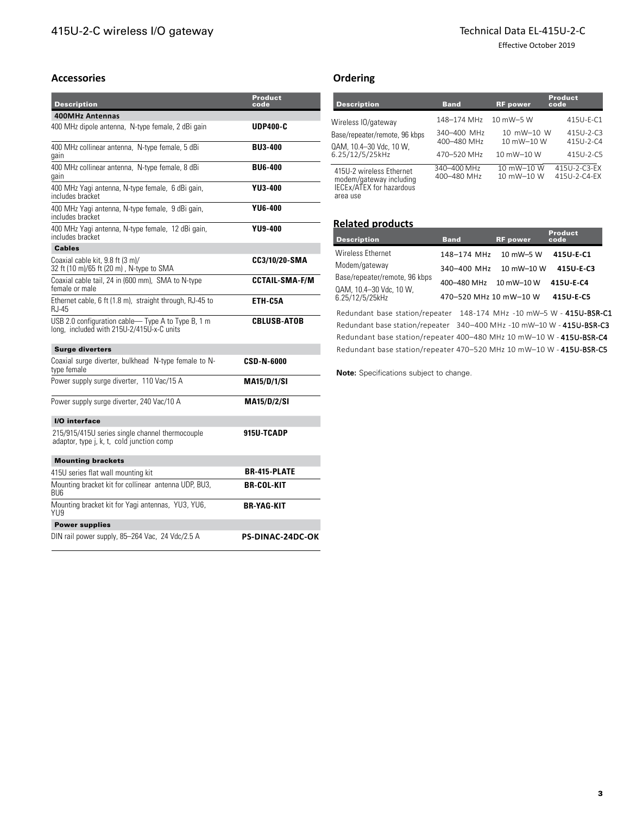## Technical Data EL-415U-2-C

Effective October 2019

## **Accessories**

| <b>Description</b>                                                                             | Product<br>code         |
|------------------------------------------------------------------------------------------------|-------------------------|
| <b>400MHz Antennas</b>                                                                         |                         |
| 400 MHz dipole antenna, N-type female, 2 dBi gain                                              | <b>UDP400-C</b>         |
| 400 MHz collinear antenna, N-type female, 5 dBi<br>gain                                        | <b>BU3-400</b>          |
| 400 MHz collinear antenna, N-type female, 8 dBi<br>gain                                        | <b>BU6-400</b>          |
| 400 MHz Yagi antenna, N-type female, 6 dBi gain,<br>includes bracket                           | YU3-400                 |
| 400 MHz Yagi antenna, N-type female, 9 dBi gain,<br>includes bracket                           | <b>YU6-400</b>          |
| 400 MHz Yagi antenna, N-type female, 12 dBi gain,<br>includes bracket                          | <b>YU9-400</b>          |
| <b>Cables</b>                                                                                  |                         |
| Coaxial cable kit, 9.8 ft (3 m)/<br>32 ft (10 m)/65 ft (20 m), N-type to SMA                   | CC3/10/20-SMA           |
| Coaxial cable tail, 24 in (600 mm), SMA to N-type<br>female or male                            | <b>CCTAIL-SMA-F/M</b>   |
| Ethernet cable, 6 ft (1.8 m), straight through, RJ-45 to<br>RJ-45                              | ETH-C5A                 |
| USB 2.0 configuration cable-Type A to Type B, 1 m<br>long, included with 215U-2/415U-x-C units | <b>CBLUSB-ATOB</b>      |
| <b>Surge diverters</b>                                                                         |                         |
| Coaxial surge diverter, bulkhead N-type female to N-<br>type female                            | <b>CSD-N-6000</b>       |
| Power supply surge diverter, 110 Vac/15 A                                                      | <b>MA15/D/1/SI</b>      |
| Power supply surge diverter, 240 Vac/10 A                                                      | <b>MA15/D/2/SI</b>      |
| I/O interface                                                                                  |                         |
| 215/915/415U series single channel thermocouple<br>adaptor, type j, k, t, cold junction comp   | 915U-TCADP              |
| <b>Mounting brackets</b>                                                                       |                         |
| 415U series flat wall mounting kit                                                             | <b>BR-415-PLATE</b>     |
| Mounting bracket kit for collinear antenna UDP, BU3,<br><b>BU6</b>                             | <b>BR-COL-KIT</b>       |
| Mounting bracket kit for Yagi antennas, YU3, YU6,<br>YU9                                       | <b>BR-YAG-KIT</b>       |
| <b>Power supplies</b>                                                                          |                         |
| DIN rail power supply, 85–264 Vac, 24 Vdc/2.5 A                                                | <b>PS-DINAC-24DC-OK</b> |

# **Ordering**

| <b>Description</b>                                                                                 | <b>Band</b>                               | <b>RF</b> power                        | <b>Product</b><br>code       |
|----------------------------------------------------------------------------------------------------|-------------------------------------------|----------------------------------------|------------------------------|
| Wireless IO/gateway<br>Base/repeater/remote, 96 kbps<br>QAM, 10.4-30 Vdc, 10 W,<br>6.25/12/5/25kHz | 148-174 MHz                               | 10 mW-5 W                              | 415U-F-C1                    |
|                                                                                                    | 340-400 MHz<br>400-480 MHz<br>470-520 MHz | 10 mW-10 W<br>10 mW-10 W<br>10 mW-10 W | 415U-2-C3<br>415U-2-C4       |
|                                                                                                    |                                           |                                        | 415U-2-C5                    |
| 415U-2 wireless Ethernet<br>modem/gateway including<br>IECEx/ATEX for hazardous<br>area use        | 340-400 MHz<br>400-480 MHz                | 10 mW-10 W<br>10 mW-10 W               | 415U-2-C3-EX<br>415U-2-C4-FX |

## **Related products**

| <b>Description</b>                         | <b>Band</b>            | <b>RF</b> power | <b>Product</b><br>code |
|--------------------------------------------|------------------------|-----------------|------------------------|
| <b>Wireless Ethernet</b>                   | 148-174 MHz            | 10 mW-5 W       | 415U E C1              |
| Modem/gateway                              | 340-400 MHz 10 mW-10 W |                 | 415U-E-C3              |
| Base/repeater/remote, 96 kbps              | 400-480 MHz 10 mW-10 W |                 | 415U-E-C4              |
| QAM, 10.4-30 Vdc, 10 W,<br>6.25/12/5/25kHz | 470-520 MHz 10 mW-10 W |                 | 415U-E-C5              |

Redundant base station/repeater 148-174 MHz -10 mW–5 W - 415U-BSR-C1 Redundant base station/repeater 340–400 MHz -10 mW–10 W - 415U-BSR-C3 Redundant base station/repeater 400–480 MHz 10 mW–10 W - 415U-BSR-C4 Redundant base station/repeater 470–520 MHz 10 mW–10 W - 415U-BSR-C5

**Note:** Specifications subject to change.